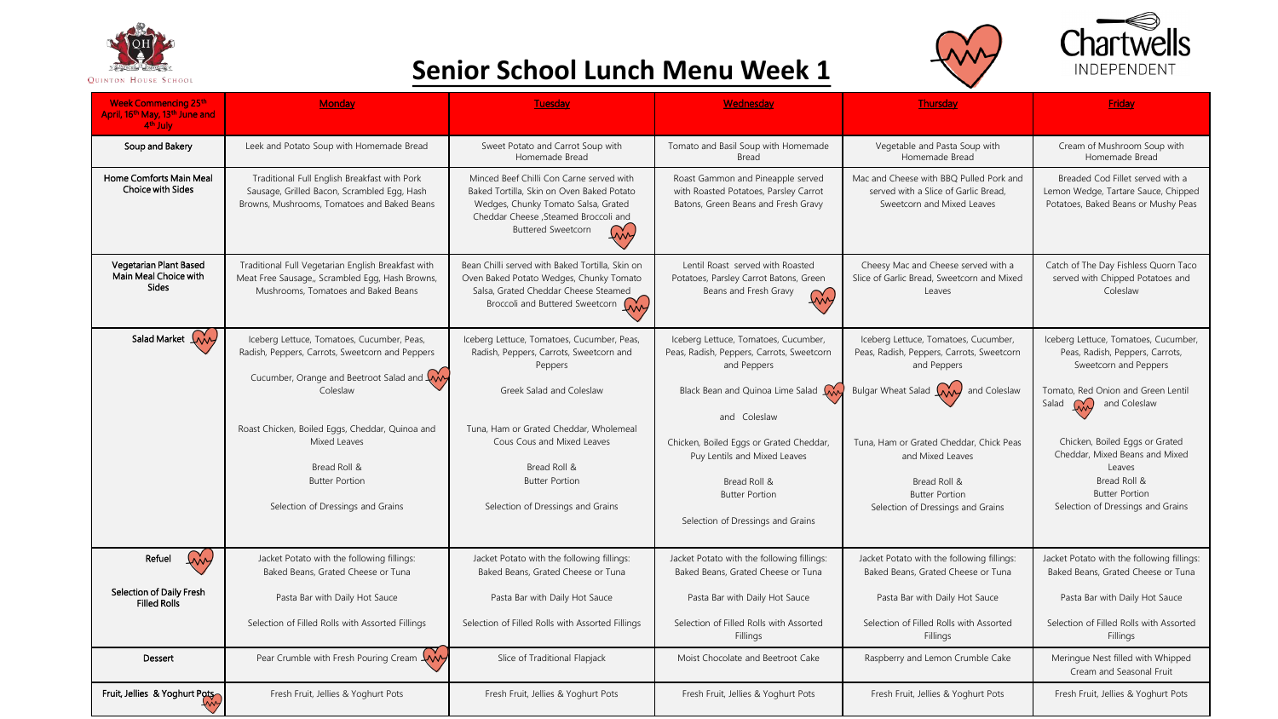





## **Senior School Lunch Menu Week 1**

| <b>Week Commencing 25th</b><br>April, 16 <sup>th</sup> May, 13 <sup>th</sup> June and<br>4 <sup>th</sup> July | <b>Monday</b>                                                                                                                                                                         | Tuesday                                                                                                                                                                                                  | Wednesday                                                                                                         | <b>Thursday</b>                                                                                               | <b>Friday</b>                                                                                                  |
|---------------------------------------------------------------------------------------------------------------|---------------------------------------------------------------------------------------------------------------------------------------------------------------------------------------|----------------------------------------------------------------------------------------------------------------------------------------------------------------------------------------------------------|-------------------------------------------------------------------------------------------------------------------|---------------------------------------------------------------------------------------------------------------|----------------------------------------------------------------------------------------------------------------|
| Soup and Bakery                                                                                               | Leek and Potato Soup with Homemade Bread                                                                                                                                              | Sweet Potato and Carrot Soup with<br>Homemade Bread                                                                                                                                                      | Tomato and Basil Soup with Homemade<br><b>Bread</b>                                                               | Vegetable and Pasta Soup with<br>Homemade Bread                                                               | Cream of Mushroom Soup with<br>Homemade Bread                                                                  |
| Home Comforts Main Meal<br>Choice with Sides                                                                  | Traditional Full English Breakfast with Pork<br>Sausage, Grilled Bacon, Scrambled Egg, Hash<br>Browns, Mushrooms, Tomatoes and Baked Beans                                            | Minced Beef Chilli Con Carne served with<br>Baked Tortilla, Skin on Oven Baked Potato<br>Wedges, Chunky Tomato Salsa, Grated<br>Cheddar Cheese , Steamed Broccoli and<br><b>Buttered Sweetcorn</b><br>In | Roast Gammon and Pineapple served<br>with Roasted Potatoes, Parsley Carrot<br>Batons, Green Beans and Fresh Gravy | Mac and Cheese with BBO Pulled Pork and<br>served with a Slice of Garlic Bread.<br>Sweetcorn and Mixed Leaves | Breaded Cod Fillet served with a<br>Lemon Wedge, Tartare Sauce, Chipped<br>Potatoes, Baked Beans or Mushy Peas |
| Vegetarian Plant Based<br>Main Meal Choice with<br><b>Sides</b>                                               | Traditional Full Vegetarian English Breakfast with<br>Meat Free Sausage,, Scrambled Egg, Hash Browns,<br>Mushrooms. Tomatoes and Baked Beans                                          | Bean Chilli served with Baked Tortilla, Skin on<br>Oven Baked Potato Wedges, Chunky Tomato<br>Salsa, Grated Cheddar Cheese Steamed<br>Broccoli and Buttered Sweetcorn W                                  | Lentil Roast served with Roasted<br>Potatoes, Parsley Carrot Batons, Green<br>Beans and Fresh Gravy<br>My         | Cheesy Mac and Cheese served with a<br>Slice of Garlic Bread, Sweetcorn and Mixed<br>Leaves                   | Catch of The Day Fishless Quorn Taco<br>served with Chipped Potatoes and<br>Coleslaw                           |
| Salad Market W                                                                                                | Iceberg Lettuce, Tomatoes, Cucumber, Peas,<br>Radish, Peppers, Carrots, Sweetcorn and Peppers<br>Cucumber, Orange and Beetroot Salad and $\begin{matrix} 0 & 0 \\ 0 & 0 \end{matrix}$ | Iceberg Lettuce, Tomatoes, Cucumber, Peas,<br>Radish, Peppers, Carrots, Sweetcorn and<br>Peppers                                                                                                         | Iceberg Lettuce, Tomatoes, Cucumber,<br>Peas, Radish, Peppers, Carrots, Sweetcorn<br>and Peppers                  | Iceberg Lettuce, Tomatoes, Cucumber,<br>Peas, Radish, Peppers, Carrots, Sweetcorn<br>and Peppers              | Iceberg Lettuce, Tomatoes, Cucumber,<br>Peas, Radish, Peppers, Carrots,<br>Sweetcorn and Peppers               |
|                                                                                                               | Coleslaw                                                                                                                                                                              | Greek Salad and Coleslaw                                                                                                                                                                                 | Black Bean and Quinoa Lime Salad<br>and Coleslaw                                                                  | Bulgar Wheat Salad $(\overrightarrow{AA}$ and Coleslaw                                                        | Tomato, Red Onion and Green Lentil<br>Salad<br>M<br>and Coleslaw                                               |
|                                                                                                               | Roast Chicken, Boiled Eggs, Cheddar, Quinoa and<br>Mixed Leaves                                                                                                                       | Tuna, Ham or Grated Cheddar, Wholemeal<br>Cous Cous and Mixed Leaves                                                                                                                                     | Chicken, Boiled Eggs or Grated Cheddar,<br>Puy Lentils and Mixed Leaves                                           | Tuna, Ham or Grated Cheddar, Chick Peas<br>and Mixed Leaves                                                   | Chicken, Boiled Eggs or Grated<br>Cheddar, Mixed Beans and Mixed                                               |
|                                                                                                               | Bread Roll &<br><b>Butter Portion</b>                                                                                                                                                 | Bread Roll &<br><b>Butter Portion</b>                                                                                                                                                                    | Bread Roll &                                                                                                      | Bread Roll &                                                                                                  | Leaves<br>Bread Roll &                                                                                         |
|                                                                                                               | Selection of Dressings and Grains                                                                                                                                                     | Selection of Dressings and Grains                                                                                                                                                                        | <b>Butter Portion</b><br>Selection of Dressings and Grains                                                        | <b>Butter Portion</b><br>Selection of Dressings and Grains                                                    | <b>Butter Portion</b><br>Selection of Dressings and Grains                                                     |
| <u>In</u><br>Refuel                                                                                           | Jacket Potato with the following fillings:<br>Baked Beans, Grated Cheese or Tuna                                                                                                      | Jacket Potato with the following fillings:<br>Baked Beans, Grated Cheese or Tuna                                                                                                                         | Jacket Potato with the following fillings:<br>Baked Beans, Grated Cheese or Tuna                                  | Jacket Potato with the following fillings:<br>Baked Beans, Grated Cheese or Tuna                              | Jacket Potato with the following fillings:<br>Baked Beans, Grated Cheese or Tuna                               |
| Selection of Daily Fresh<br><b>Filled Rolls</b>                                                               | Pasta Bar with Daily Hot Sauce                                                                                                                                                        | Pasta Bar with Daily Hot Sauce                                                                                                                                                                           | Pasta Bar with Daily Hot Sauce                                                                                    | Pasta Bar with Daily Hot Sauce                                                                                | Pasta Bar with Daily Hot Sauce                                                                                 |
|                                                                                                               | Selection of Filled Rolls with Assorted Fillings                                                                                                                                      | Selection of Filled Rolls with Assorted Fillings                                                                                                                                                         | Selection of Filled Rolls with Assorted<br>Fillings                                                               | Selection of Filled Rolls with Assorted<br>Fillings                                                           | Selection of Filled Rolls with Assorted<br>Fillings                                                            |
| <b>Dessert</b>                                                                                                | Pear Crumble with Fresh Pouring Cream $\overline{\mathsf{A}}$                                                                                                                         | Slice of Traditional Flapjack                                                                                                                                                                            | Moist Chocolate and Beetroot Cake                                                                                 | Raspberry and Lemon Crumble Cake                                                                              | Meringue Nest filled with Whipped<br>Cream and Seasonal Fruit                                                  |
| Fruit, Jellies & Yoghurt Pots                                                                                 | Fresh Fruit, Jellies & Yoghurt Pots                                                                                                                                                   | Fresh Fruit, Jellies & Yoghurt Pots                                                                                                                                                                      | Fresh Fruit, Jellies & Yoghurt Pots                                                                               | Fresh Fruit, Jellies & Yoghurt Pots                                                                           | Fresh Fruit, Jellies & Yoghurt Pots                                                                            |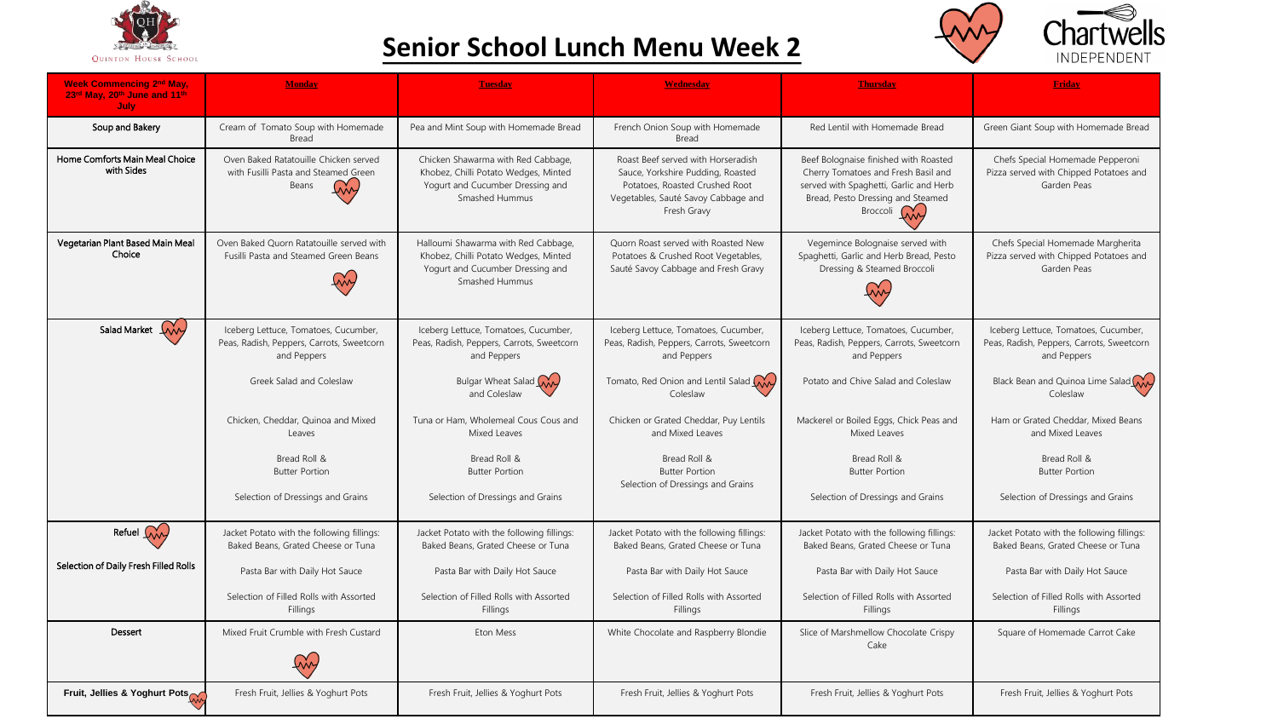

## **Senior School Lunch Menu Week 2**



| <b>Week Commencing 2<sup>nd</sup> May,</b><br>23rd May, 20th June and 11th<br>July | Monday                                                                                           | <b>Tuesday</b>                                                                                                                    | <b>Wednesday</b>                                                                                                                                                | <b>Thursday</b>                                                                                                                                                                   | <b>Friday</b>                                                                                    |
|------------------------------------------------------------------------------------|--------------------------------------------------------------------------------------------------|-----------------------------------------------------------------------------------------------------------------------------------|-----------------------------------------------------------------------------------------------------------------------------------------------------------------|-----------------------------------------------------------------------------------------------------------------------------------------------------------------------------------|--------------------------------------------------------------------------------------------------|
| Soup and Bakery                                                                    | Cream of Tomato Soup with Homemade<br>Bread                                                      | Pea and Mint Soup with Homemade Bread                                                                                             | French Onion Soup with Homemade<br>Bread                                                                                                                        | Red Lentil with Homemade Bread                                                                                                                                                    | Green Giant Soup with Homemade Bread                                                             |
| Home Comforts Main Meal Choice<br>with Sides                                       | Oven Baked Ratatouille Chicken served<br>with Fusilli Pasta and Steamed Green<br>Beans           | Chicken Shawarma with Red Cabbage,<br>Khobez, Chilli Potato Wedges, Minted<br>Yogurt and Cucumber Dressing and<br>Smashed Hummus  | Roast Beef served with Horseradish<br>Sauce, Yorkshire Pudding, Roasted<br>Potatoes, Roasted Crushed Root<br>Vegetables, Sauté Savoy Cabbage and<br>Fresh Gravy | Beef Bolognaise finished with Roasted<br>Cherry Tomatoes and Fresh Basil and<br>served with Spaghetti, Garlic and Herb<br>Bread, Pesto Dressing and Steamed<br>Broccoli <i>WW</i> | Chefs Special Homemade Pepperoni<br>Pizza served with Chipped Potatoes and<br>Garden Peas        |
| Vegetarian Plant Based Main Meal<br>Choice                                         | Oven Baked Ouorn Ratatouille served with<br>Fusilli Pasta and Steamed Green Beans                | Halloumi Shawarma with Red Cabbage,<br>Khobez, Chilli Potato Wedges, Minted<br>Yogurt and Cucumber Dressing and<br>Smashed Hummus | Ouorn Roast served with Roasted New<br>Potatoes & Crushed Root Vegetables,<br>Sauté Savoy Cabbage and Fresh Gravy                                               | Vegemince Bolognaise served with<br>Spaghetti, Garlic and Herb Bread, Pesto<br>Dressing & Steamed Broccoli                                                                        | Chefs Special Homemade Margherita<br>Pizza served with Chipped Potatoes and<br>Garden Peas       |
| Salad Market (Wy                                                                   | Iceberg Lettuce, Tomatoes, Cucumber,<br>Peas, Radish, Peppers, Carrots, Sweetcorn<br>and Peppers | Iceberg Lettuce, Tomatoes, Cucumber,<br>Peas, Radish, Peppers, Carrots, Sweetcorn<br>and Peppers                                  | Iceberg Lettuce, Tomatoes, Cucumber,<br>Peas, Radish, Peppers, Carrots, Sweetcorn<br>and Peppers                                                                | Iceberg Lettuce, Tomatoes, Cucumber,<br>Peas, Radish, Peppers, Carrots, Sweetcorn<br>and Peppers                                                                                  | Iceberg Lettuce, Tomatoes, Cucumber,<br>Peas, Radish, Peppers, Carrots, Sweetcorn<br>and Peppers |
|                                                                                    | Greek Salad and Coleslaw                                                                         | Bulgar Wheat Salad<br>and Coleslaw                                                                                                | Tomato, Red Onion and Lentil Salad<br>Coleslaw                                                                                                                  | Potato and Chive Salad and Coleslaw                                                                                                                                               | Black Bean and Quinoa Lime Salad (AA<br>Coleslaw                                                 |
|                                                                                    | Chicken, Cheddar, Ouinoa and Mixed<br>Leaves                                                     | Tuna or Ham, Wholemeal Cous Cous and<br>Mixed Leaves                                                                              | Chicken or Grated Cheddar, Puy Lentils<br>and Mixed Leaves                                                                                                      | Mackerel or Boiled Eggs, Chick Peas and<br>Mixed Leaves                                                                                                                           | Ham or Grated Cheddar, Mixed Beans<br>and Mixed Leaves                                           |
|                                                                                    | Bread Roll &<br><b>Butter Portion</b>                                                            | Bread Roll &<br><b>Butter Portion</b>                                                                                             | Bread Roll &<br><b>Butter Portion</b><br>Selection of Dressings and Grains                                                                                      | Bread Roll &<br><b>Butter Portion</b>                                                                                                                                             | Bread Roll &<br><b>Butter Portion</b>                                                            |
|                                                                                    | Selection of Dressings and Grains                                                                | Selection of Dressings and Grains                                                                                                 |                                                                                                                                                                 | Selection of Dressings and Grains                                                                                                                                                 | Selection of Dressings and Grains                                                                |
| Refuel Wy                                                                          | Jacket Potato with the following fillings:<br>Baked Beans, Grated Cheese or Tuna                 | Jacket Potato with the following fillings:<br>Baked Beans, Grated Cheese or Tuna                                                  | Jacket Potato with the following fillings:<br>Baked Beans, Grated Cheese or Tuna                                                                                | Jacket Potato with the following fillings:<br>Baked Beans, Grated Cheese or Tuna                                                                                                  | Jacket Potato with the following fillings:<br>Baked Beans, Grated Cheese or Tuna                 |
| Selection of Daily Fresh Filled Rolls                                              | Pasta Bar with Daily Hot Sauce                                                                   | Pasta Bar with Daily Hot Sauce                                                                                                    | Pasta Bar with Daily Hot Sauce                                                                                                                                  | Pasta Bar with Daily Hot Sauce                                                                                                                                                    | Pasta Bar with Daily Hot Sauce                                                                   |
|                                                                                    | Selection of Filled Rolls with Assorted<br>Fillings                                              | Selection of Filled Rolls with Assorted<br>Fillinas                                                                               | Selection of Filled Rolls with Assorted<br>Fillings                                                                                                             | Selection of Filled Rolls with Assorted<br>Fillings                                                                                                                               | Selection of Filled Rolls with Assorted<br>Fillings                                              |
| Dessert                                                                            | Mixed Fruit Crumble with Fresh Custard                                                           | <b>Eton Mess</b>                                                                                                                  | White Chocolate and Raspberry Blondie                                                                                                                           | Slice of Marshmellow Chocolate Crispy<br>Cake                                                                                                                                     | Square of Homemade Carrot Cake                                                                   |
| Fruit, Jellies & Yoghurt Pots                                                      | Fresh Fruit, Jellies & Yoghurt Pots                                                              | Fresh Fruit, Jellies & Yoghurt Pots                                                                                               | Fresh Fruit, Jellies & Yoghurt Pots                                                                                                                             | Fresh Fruit, Jellies & Yoghurt Pots                                                                                                                                               | Fresh Fruit, Jellies & Yoghurt Pots                                                              |